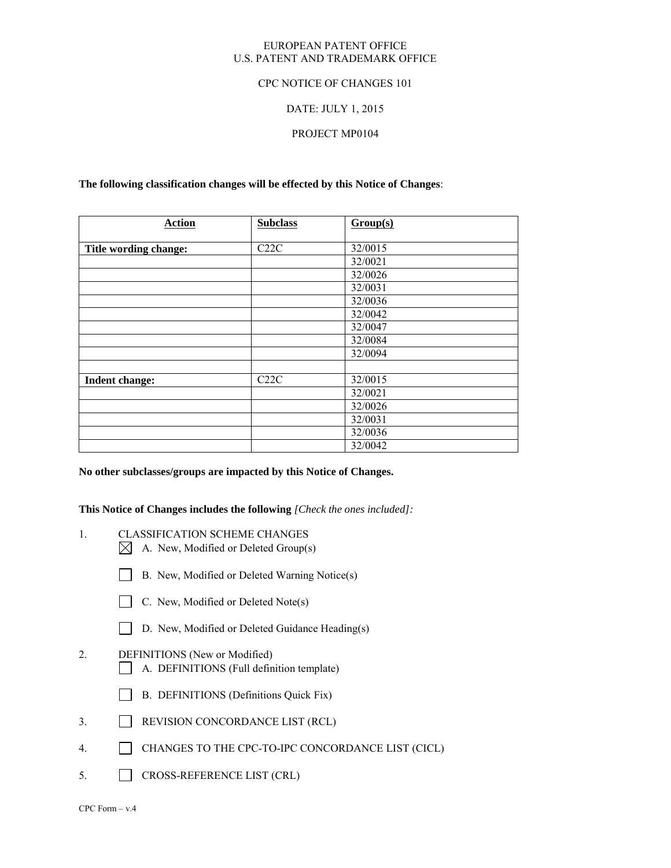## EUROPEAN PATENT OFFICE U.S. PATENT AND TRADEMARK OFFICE

## CPC NOTICE OF CHANGES 101

## DATE: JULY 1, 2015

## PROJECT MP0104

### **The following classification changes will be effected by this Notice of Changes**:

| <b>Action</b>         | <b>Subclass</b> | Group(s) |
|-----------------------|-----------------|----------|
|                       |                 |          |
| Title wording change: | C22C            | 32/0015  |
|                       |                 | 32/0021  |
|                       |                 | 32/0026  |
|                       |                 | 32/0031  |
|                       |                 | 32/0036  |
|                       |                 | 32/0042  |
|                       |                 | 32/0047  |
|                       |                 | 32/0084  |
|                       |                 | 32/0094  |
|                       |                 |          |
| Indent change:        | C22C            | 32/0015  |
|                       |                 | 32/0021  |
|                       |                 | 32/0026  |
|                       |                 | 32/0031  |
|                       |                 | 32/0036  |
|                       |                 | 32/0042  |

## **No other subclasses/groups are impacted by this Notice of Changes.**

**This Notice of Changes includes the following** *[Check the ones included]:*

- 1. CLASSIFICATION SCHEME CHANGES
	- $\boxtimes$  A. New, Modified or Deleted Group(s)
	- B. New, Modified or Deleted Warning Notice(s)
	- $\Box$  C. New, Modified or Deleted Note(s)
	- D. New, Modified or Deleted Guidance Heading(s)
- 2. DEFINITIONS (New or Modified)
	- A. DEFINITIONS (Full definition template)
	- B. DEFINITIONS (Definitions Quick Fix)
- 3. REVISION CONCORDANCE LIST (RCL)
- 4. CHANGES TO THE CPC-TO-IPC CONCORDANCE LIST (CICL)
- 5. CROSS-REFERENCE LIST (CRL)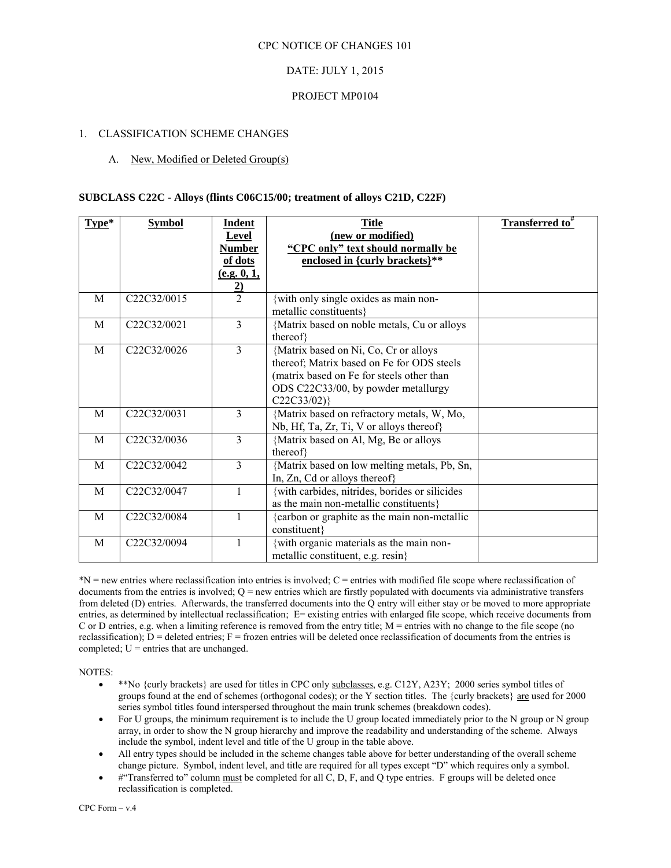# DATE: JULY 1, 2015

## PROJECT MP0104

## 1. CLASSIFICATION SCHEME CHANGES

## A. New, Modified or Deleted Group(s)

## **SUBCLASS C22C - Alloys (flints C06C15/00; treatment of alloys C21D, C22F)**

| Type*        | <b>Symbol</b>                         | Indent         | <b>Title</b>                                   | <b>Transferred to</b> # |
|--------------|---------------------------------------|----------------|------------------------------------------------|-------------------------|
|              |                                       | Level          | (new or modified)                              |                         |
|              |                                       | <b>Number</b>  | "CPC only" text should normally be             |                         |
|              |                                       | of dots        | enclosed in {curly brackets}**                 |                         |
|              |                                       | (e.g. 0, 1,    |                                                |                         |
|              |                                       | $\mathbf{2}$   |                                                |                         |
| M            | C <sub>22</sub> C <sub>32</sub> /0015 | $\overline{2}$ | {with only single oxides as main non-          |                         |
|              |                                       |                | metallic constituents}                         |                         |
| M            | C22C32/0021                           | $\mathcal{E}$  | {Matrix based on noble metals, Cu or alloys    |                         |
|              |                                       |                | thereof}                                       |                         |
| M            | C22C32/0026                           | 3              | {Matrix based on Ni, Co, Cr or alloys          |                         |
|              |                                       |                | thereof; Matrix based on Fe for ODS steels     |                         |
|              |                                       |                | (matrix based on Fe for steels other than      |                         |
|              |                                       |                | ODS C22C33/00, by powder metallurgy            |                         |
|              |                                       |                | $C22C33/02$ }                                  |                         |
| M            | C22C32/0031                           | 3              | {Matrix based on refractory metals, W, Mo,     |                         |
|              |                                       |                | Nb, Hf, Ta, Zr, Ti, V or alloys thereof}       |                         |
| M            | C22C32/0036                           | $\overline{3}$ | {Matrix based on Al, Mg, Be or alloys          |                         |
|              |                                       |                | thereof}                                       |                         |
| M            | C22C32/0042                           | 3              | {Matrix based on low melting metals, Pb, Sn,   |                         |
|              |                                       |                | In, Zn, Cd or alloys thereof}                  |                         |
| M            | C <sub>22</sub> C <sub>32</sub> /0047 | 1              | {with carbides, nitrides, borides or silicides |                         |
|              |                                       |                | as the main non-metallic constituents}         |                         |
| M            | C22C32/0084                           | 1              | {carbon or graphite as the main non-metallic   |                         |
|              |                                       |                | constituent}                                   |                         |
| $\mathbf{M}$ | C22C32/0094                           | $\mathbf{1}$   | {with organic materials as the main non-       |                         |
|              |                                       |                | metallic constituent, e.g. resin}              |                         |

\*N = new entries where reclassification into entries is involved; C = entries with modified file scope where reclassification of documents from the entries is involved;  $Q =$  new entries which are firstly populated with documents via administrative transfers from deleted (D) entries. Afterwards, the transferred documents into the Q entry will either stay or be moved to more appropriate entries, as determined by intellectual reclassification; E= existing entries with enlarged file scope, which receive documents from C or D entries, e.g. when a limiting reference is removed from the entry title; M = entries with no change to the file scope (no reclassification);  $D =$  deleted entries;  $F =$  frozen entries will be deleted once reclassification of documents from the entries is completed;  $U =$  entries that are unchanged.

NOTES:

- \*\*No {curly brackets} are used for titles in CPC only subclasses, e.g. C12Y, A23Y; 2000 series symbol titles of groups found at the end of schemes (orthogonal codes); or the Y section titles. The {curly brackets} are used for 2000 series symbol titles found interspersed throughout the main trunk schemes (breakdown codes).
- For U groups, the minimum requirement is to include the U group located immediately prior to the N group or N group array, in order to show the N group hierarchy and improve the readability and understanding of the scheme. Always include the symbol, indent level and title of the U group in the table above.
- All entry types should be included in the scheme changes table above for better understanding of the overall scheme change picture. Symbol, indent level, and title are required for all types except "D" which requires only a symbol.
- #"Transferred to" column must be completed for all C, D, F, and Q type entries. F groups will be deleted once reclassification is completed.